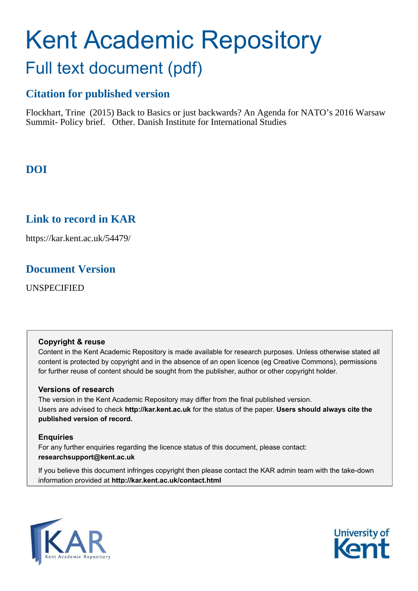# Kent Academic Repository Full text document (pdf)

# **Citation for published version**

Flockhart, Trine (2015) Back to Basics or just backwards? An Agenda for NATO's 2016 Warsaw Summit- Policy brief. Other. Danish Institute for International Studies

# **DOI**

## **Link to record in KAR**

https://kar.kent.ac.uk/54479/

## **Document Version**

UNSPECIFIED

### **Copyright & reuse**

Content in the Kent Academic Repository is made available for research purposes. Unless otherwise stated all content is protected by copyright and in the absence of an open licence (eg Creative Commons), permissions for further reuse of content should be sought from the publisher, author or other copyright holder.

### **Versions of research**

The version in the Kent Academic Repository may differ from the final published version. Users are advised to check **http://kar.kent.ac.uk** for the status of the paper. **Users should always cite the published version of record.**

### **Enquiries**

For any further enquiries regarding the licence status of this document, please contact: **researchsupport@kent.ac.uk**

If you believe this document infringes copyright then please contact the KAR admin team with the take-down information provided at **http://kar.kent.ac.uk/contact.html**



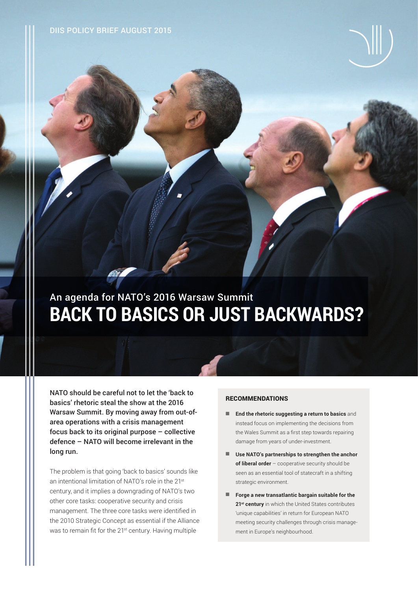

NATO should be careful not to let the 'back to basics' rhetoric steal the show at the 2016 Warsaw Summit. By moving away from out-ofarea operations with a crisis management focus back to its original purpose  $-$  collective  $defence - NATO will become irrelevant in the$ long run.

The problem is that going 'back to basics' sounds like an intentional limitation of NATO's role in the 21<sup>st</sup> century, and it implies a downgrading of NATO's two other core tasks: cooperative security and crisis management. The three core tasks were identified in the 2010 Strategic Concept as essential if the Alliance was to remain fit for the 21<sup>st</sup> century. Having multiple

### RECOMMENDATIONS

- **End the rhetoric suggesting a return to basics** and instead focus on implementing the decisions from the Wales Summit as a first step towards repairing damage from years of under-investment.
- **Use NATOís partnerships to strengthen the anchor of liberal order** – cooperative security should be seen as an essential tool of statecraft in a shifting strategic environment.
- **Forge a new transatlantic bargain suitable for the 21st century** in which the United States contributes 'unique capabilities' in return for European NATO meeting security challenges through crisis management in Europe's neighbourhood.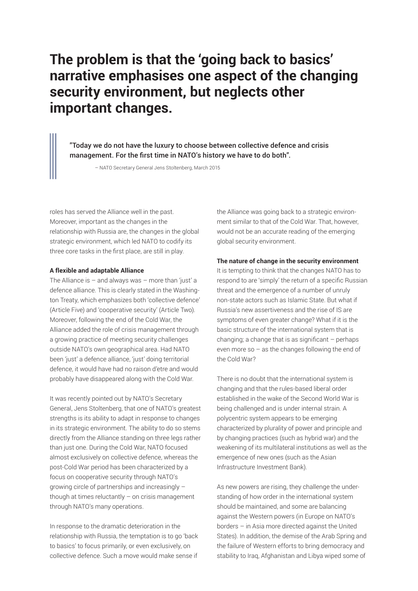# The problem is that the 'going back to basics' **narrative emphasises one aspect of the changing security environment, but neglects other important changes.**

îToday we do not have the luxury to choose between collective defence and crisis management. For the first time in NATO's history we have to do both".

- NATO Secretary General Jens Stoltenberg, March 2015

roles has served the Alliance well in the past. Moreover, important as the changes in the relationship with Russia are, the changes in the global strategic environment, which led NATO to codify its three core tasks in the first place, are still in play.

### **A Texible and adaptable Alliance**

The Alliance is  $-$  and always was  $-$  more than 'just' a defence alliance. This is clearly stated in the Washington Treaty, which emphasizes both 'collective defence' (Article Five) and 'cooperative security' (Article Two). Moreover, following the end of the Cold War, the Alliance added the role of crisis management through a growing practice of meeting security challenges outside NATO's own geographical area. Had NATO been 'just' a defence alliance, 'just' doing territorial defence, it would have had no raison d'etre and would probably have disappeared along with the Cold War.

It was recently pointed out by NATO's Secretary General, Jens Stoltenberg, that one of NATO's greatest strengths is its ability to adapt in response to changes in its strategic environment. The ability to do so stems directly from the Alliance standing on three legs rather than just one. During the Cold War, NATO focused almost exclusively on collective defence, whereas the post-Cold War period has been characterized by a focus on cooperative security through NATO's growing circle of partnerships and increasingly  $$ though at times reluctantly  $-$  on crisis management through NATO's many operations.

In response to the dramatic deterioration in the relationship with Russia, the temptation is to go 'back to basics' to focus primarily, or even exclusively, on collective defence. Such a move would make sense if

the Alliance was going back to a strategic environment similar to that of the Cold War. That, however, would not be an accurate reading of the emerging global security environment.

### **The nature of change in the security environment**

It is tempting to think that the changes NATO has to respond to are 'simply' the return of a specific Russian threat and the emergence of a number of unruly non-state actors such as Islamic State. But what if Russiaís new assertiveness and the rise of IS are symptoms of even greater change? What if it is the basic structure of the international system that is changing; a change that is as significant  $-$  perhaps even more so  $-$  as the changes following the end of the Cold War?

There is no doubt that the international system is changing and that the rules-based liberal order established in the wake of the Second World War is being challenged and is under internal strain. A polycentric system appears to be emerging characterized by plurality of power and principle and by changing practices (such as hybrid war) and the weakening of its multilateral institutions as well as the emergence of new ones (such as the Asian Infrastructure Investment Bank).

As new powers are rising, they challenge the understanding of how order in the international system should be maintained, and some are balancing against the Western powers (in Europe on NATO's borders  $-$  in Asia more directed against the United States). In addition, the demise of the Arab Spring and the failure of Western efforts to bring democracy and stability to Iraq, Afghanistan and Libya wiped some of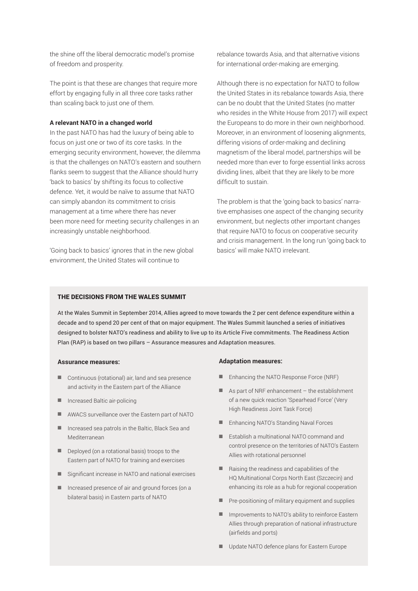the shine off the liberal democratic model's promise of freedom and prosperity.

The point is that these are changes that require more effort by engaging fully in all three core tasks rather than scaling back to just one of them.

### **A relevant NATO in a changed world**

In the past NATO has had the luxury of being able to focus on just one or two of its core tasks. In the emerging security environment, however, the dilemma is that the challenges on NATO's eastern and southern flanks seem to suggest that the Alliance should hurry 'back to basics' by shifting its focus to collective defence. Yet, it would be naïve to assume that NATO can simply abandon its commitment to crisis management at a time where there has never been more need for meeting security challenges in an increasingly unstable neighborhood.

'Going back to basics' ignores that in the new global environment, the United States will continue to

rebalance towards Asia, and that alternative visions for international order-making are emerging.

Although there is no expectation for NATO to follow the United States in its rebalance towards Asia, there can be no doubt that the United States (no matter who resides in the White House from 2017) will expect the Europeans to do more in their own neighborhood. Moreover, in an environment of loosening alignments, differing visions of order-making and declining magnetism of the liberal model, partnerships will be needed more than ever to forge essential links across dividing lines, albeit that they are likely to be more difficult to sustain.

The problem is that the 'going back to basics' narrative emphasises one aspect of the changing security environment, but neglects other important changes that require NATO to focus on cooperative security and crisis management. In the long run 'going back to basics' will make NATO irrelevant.

### THE DECISIONS FROM THE WALES SUMMIT

At the Wales Summit in September 2014, Allies agreed to move towards the 2 per cent defence expenditure within a decade and to spend 20 per cent of that on major equipment. The Wales Summit launched a series of initiatives designed to bolster NATOís readiness and ability to live up to its Article Five commitments. The Readiness Action Plan (RAP) is based on two pillars  $-$  Assurance measures and Adaptation measures.

#### **Assurance measures:**

- Continuous (rotational) air, land and sea presence and activity in the Eastern part of the Alliance
- Increased Baltic air-policing
- AWACS surveillance over the Eastern part of NATO
- Increased sea patrols in the Baltic, Black Sea and Mediterranean
- Deployed (on a rotational basis) troops to the Eastern part of NATO for training and exercises
- Significant increase in NATO and national exercises
- Increased presence of air and ground forces (on a bilateral basis) in Eastern parts of NATO

### **Adaptation measures:**

- Enhancing the NATO Response Force (NRF)
- As part of NRF enhancement  $-$  the establishment of a new quick reaction 'Spearhead Force' (Very High Readiness Joint Task Force)
- Enhancing NATO's Standing Naval Forces
- Establish a multinational NATO command and control presence on the territories of NATO's Eastern Allies with rotational personnel
- Raising the readiness and capabilities of the HQ Multinational Corps North East (Szczecin) and enhancing its role as a hub for regional cooperation
- Pre-positioning of military equipment and supplies
- Improvements to NATO's ability to reinforce Eastern Allies through preparation of national infrastructure (airfields and ports)
- Update NATO defence plans for Eastern Europe